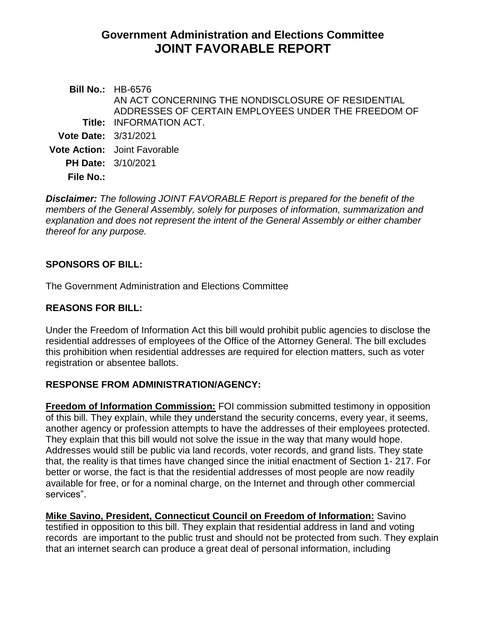# **Government Administration and Elections Committee JOINT FAVORABLE REPORT**

**Bill No.:** HB-6576 **Title:** INFORMATION ACT. AN ACT CONCERNING THE NONDISCLOSURE OF RESIDENTIAL ADDRESSES OF CERTAIN EMPLOYEES UNDER THE FREEDOM OF **Vote Date:** 3/31/2021 **Vote Action:** Joint Favorable **PH Date:** 3/10/2021 **File No.:**

*Disclaimer: The following JOINT FAVORABLE Report is prepared for the benefit of the members of the General Assembly, solely for purposes of information, summarization and explanation and does not represent the intent of the General Assembly or either chamber thereof for any purpose.*

# **SPONSORS OF BILL:**

The Government Administration and Elections Committee

# **REASONS FOR BILL:**

Under the Freedom of Information Act this bill would prohibit public agencies to disclose the residential addresses of employees of the Office of the Attorney General. The bill excludes this prohibition when residential addresses are required for election matters, such as voter registration or absentee ballots.

### **RESPONSE FROM ADMINISTRATION/AGENCY:**

**Freedom of Information Commission:** FOI commission submitted testimony in opposition of this bill. They explain, while they understand the security concerns, every year, it seems, another agency or profession attempts to have the addresses of their employees protected. They explain that this bill would not solve the issue in the way that many would hope. Addresses would still be public via land records, voter records, and grand lists. They state that, the reality is that times have changed since the initial enactment of Section 1- 217. For better or worse, the fact is that the residential addresses of most people are now readily available for free, or for a nominal charge, on the Internet and through other commercial services".

**Mike Savino, President, Connecticut Council on Freedom of Information:** Savino testified in opposition to this bill. They explain that residential address in land and voting records are important to the public trust and should not be protected from such. They explain that an internet search can produce a great deal of personal information, including